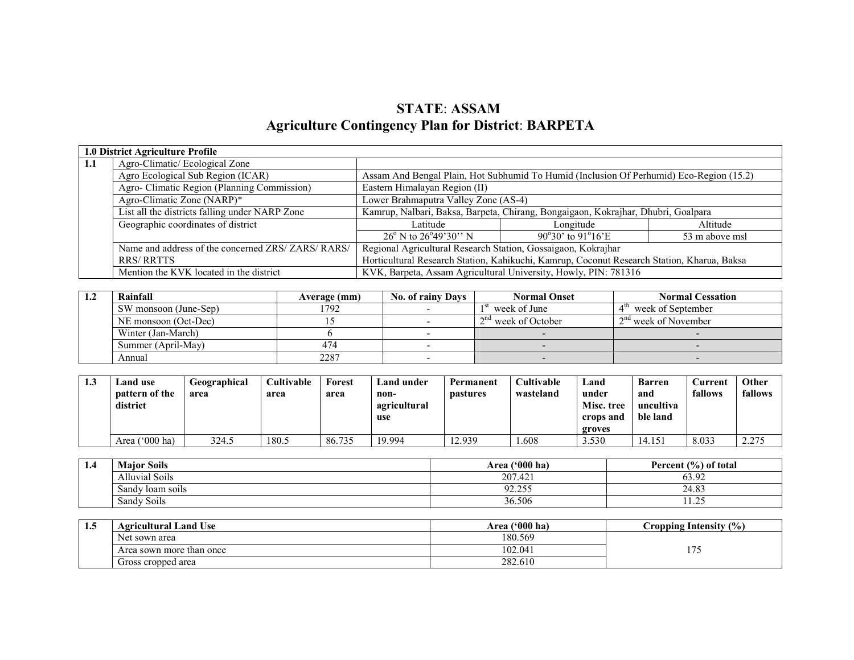# STATE: ASSAMAgriculture Contingency Plan for District: BARPETA

|     | 1.0 District Agriculture Profile                   |                                                                                            |                                                                 |                |  |  |  |
|-----|----------------------------------------------------|--------------------------------------------------------------------------------------------|-----------------------------------------------------------------|----------------|--|--|--|
| 1.1 | Agro-Climatic/Ecological Zone                      |                                                                                            |                                                                 |                |  |  |  |
|     | Agro Ecological Sub Region (ICAR)                  | Assam And Bengal Plain, Hot Subhumid To Humid (Inclusion Of Perhumid) Eco-Region (15.2)    |                                                                 |                |  |  |  |
|     | Agro- Climatic Region (Planning Commission)        | Eastern Himalayan Region (II)                                                              |                                                                 |                |  |  |  |
|     | Agro-Climatic Zone (NARP)*                         | Lower Brahmaputra Valley Zone (AS-4)                                                       |                                                                 |                |  |  |  |
|     | List all the districts falling under NARP Zone     | Kamrup, Nalbari, Baksa, Barpeta, Chirang, Bongaigaon, Kokrajhar, Dhubri, Goalpara          |                                                                 |                |  |  |  |
|     | Geographic coordinates of district                 | Latitude                                                                                   | Longitude                                                       | Altitude       |  |  |  |
|     |                                                    | $26^{\circ}$ N to $26^{\circ}49^{\circ}30^{\circ}$ N                                       | $90^{\circ}30'$ to $91^{\circ}16'E$                             | 53 m above msl |  |  |  |
|     | Name and address of the concerned ZRS/ ZARS/ RARS/ | Regional Agricultural Research Station, Gossaigaon, Kokrajhar                              |                                                                 |                |  |  |  |
|     | <b>RRS/RRTTS</b>                                   | Horticultural Research Station, Kahikuchi, Kamrup, Coconut Research Station, Kharua, Baksa |                                                                 |                |  |  |  |
|     | Mention the KVK located in the district            |                                                                                            | KVK, Barpeta, Assam Agricultural University, Howly, PIN: 781316 |                |  |  |  |

| -1.4 | Rainfall              | Average (mm) | <b>No. of rainy Days</b> | <b>Normal Onset</b>   | <b>Normal Cessation</b> |
|------|-----------------------|--------------|--------------------------|-----------------------|-------------------------|
|      | SW monsoon (June-Sep) | 1792         |                          | week of June          | week of September       |
|      | NE monsoon (Oct-Dec)  |              |                          | $2nd$ week of October | $12nd$ week of November |
|      | Winter (Jan-March)    |              |                          |                       |                         |
|      | Summer (April-May)    | 474          |                          |                       |                         |
|      | Annual                | 2287         |                          |                       |                         |

| 1.3 | Land use<br>pattern of the<br>district | Geographical<br>area | Cultivable<br>area | Forest<br>area | Land under<br>non-<br>agricultural<br>use | Permanent<br><b>pastures</b> | <b>Cultivable</b><br>wasteland | Land<br>under<br>Misc. tree<br>crops and<br>groves | <b>Barren</b><br>and<br>uncultiva<br>ble land | Current<br>fallows | Other<br>fallows |
|-----|----------------------------------------|----------------------|--------------------|----------------|-------------------------------------------|------------------------------|--------------------------------|----------------------------------------------------|-----------------------------------------------|--------------------|------------------|
|     | $^{\circ}000$ ha)<br>Area,             | 324.5                | 180.5              | 86.735         | 19.994                                    | 12.939                       | .608                           | 3.530                                              | 14.151                                        | 8.033              | 2.275            |

| 1,4 | <b>Major Soils</b>                    | $(600)$ ha)<br>Area'      | Percent $(\% )$ of total |
|-----|---------------------------------------|---------------------------|--------------------------|
|     | .<br>- 11<br>Alluvial Soils           | $\sqrt{2}$<br>207<br>.44. | 63.92                    |
|     | Sandy Joam soils                      | 02.255<br>92.LJJ          | 24.83                    |
|     | $\sim$ $\cdot$ $\cdot$<br>Sandy Soils | 36.506                    | $\bigcap$<br>ر ∠…⊥ ا     |

| ⊥∙ം | Agricultural Land Use    | ('000 ha)<br>Area | Cropping Intensity (%) |
|-----|--------------------------|-------------------|------------------------|
|     | Net.<br>sown area        | 180.569           |                        |
|     | Area sown more than once | 102.041           | $-$                    |
|     | Gross cropped area       | 282.610           |                        |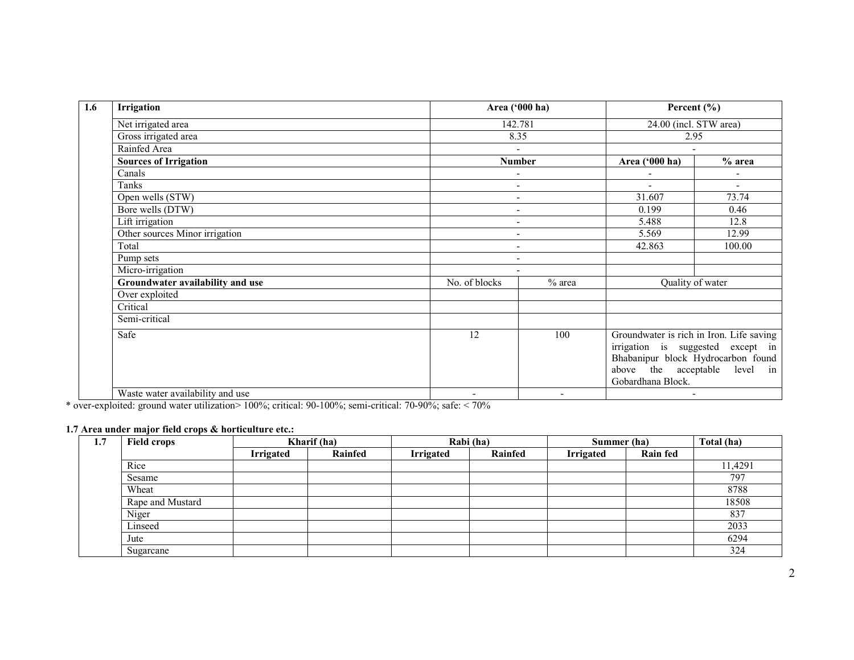| Irrigation                       | Area ('000 ha)           |          |                                                                                                                                                                           | Percent $(\% )$          |  |  |
|----------------------------------|--------------------------|----------|---------------------------------------------------------------------------------------------------------------------------------------------------------------------------|--------------------------|--|--|
| Net irrigated area               |                          | 142.781  |                                                                                                                                                                           |                          |  |  |
| Gross irrigated area             | 8.35                     |          | 2.95                                                                                                                                                                      |                          |  |  |
| Rainfed Area                     | $\overline{\phantom{a}}$ |          | $\blacksquare$                                                                                                                                                            |                          |  |  |
| <b>Sources of Irrigation</b>     | <b>Number</b>            |          | Area ('000 ha)                                                                                                                                                            | $%$ area                 |  |  |
| Canals                           | $\overline{\phantom{a}}$ |          | ۰                                                                                                                                                                         | $\overline{\phantom{a}}$ |  |  |
| Tanks                            | $\overline{\phantom{a}}$ |          | $\overline{\phantom{0}}$                                                                                                                                                  | $\sim$                   |  |  |
| Open wells (STW)                 | $\overline{\phantom{a}}$ |          | 31.607                                                                                                                                                                    | 73.74                    |  |  |
| Bore wells (DTW)                 | $\overline{\phantom{a}}$ |          | 0.199                                                                                                                                                                     | 0.46                     |  |  |
| Lift irrigation                  | $\overline{\phantom{a}}$ |          | 5.488                                                                                                                                                                     | 12.8                     |  |  |
| Other sources Minor irrigation   | $\overline{\phantom{a}}$ |          | 5.569                                                                                                                                                                     | 12.99                    |  |  |
| Total                            | $\overline{\phantom{a}}$ |          | 42.863                                                                                                                                                                    | 100.00                   |  |  |
| Pump sets                        | $\overline{\phantom{a}}$ |          |                                                                                                                                                                           |                          |  |  |
| Micro-irrigation                 | $\overline{\phantom{a}}$ |          |                                                                                                                                                                           |                          |  |  |
| Groundwater availability and use | No. of blocks            | $%$ area | Quality of water                                                                                                                                                          |                          |  |  |
| Over exploited                   |                          |          |                                                                                                                                                                           |                          |  |  |
| Critical                         |                          |          |                                                                                                                                                                           |                          |  |  |
| Semi-critical                    |                          |          |                                                                                                                                                                           |                          |  |  |
| Safe                             | 12                       | 100      | Groundwater is rich in Iron. Life saving<br>irrigation is suggested except in<br>Bhabanipur block Hydrocarbon found<br>above the acceptable level in<br>Gobardhana Block. |                          |  |  |
| Waste water availability and use |                          |          |                                                                                                                                                                           |                          |  |  |

\* over-exploited: ground water utilization> 100%; critical: 90-100%; semi-critical: 70-90%; safe: < 70%

#### 1.7 Area under major field crops & horticulture etc.:

| 1.7 | <b>Field crops</b> | Kharif (ha)      |         |                  | Rabi (ha) |                  | Summer (ha)     |         |
|-----|--------------------|------------------|---------|------------------|-----------|------------------|-----------------|---------|
|     |                    | <b>Irrigated</b> | Rainfed | <b>Irrigated</b> | Rainfed   | <b>Irrigated</b> | <b>Rain fed</b> |         |
|     | Rice               |                  |         |                  |           |                  |                 | 11,4291 |
|     | Sesame             |                  |         |                  |           |                  |                 | 797     |
|     | Wheat              |                  |         |                  |           |                  |                 | 8788    |
|     | Rape and Mustard   |                  |         |                  |           |                  |                 | 18508   |
|     | Niger              |                  |         |                  |           |                  |                 | 837     |
|     | Linseed            |                  |         |                  |           |                  |                 | 2033    |
|     | Jute               |                  |         |                  |           |                  |                 | 6294    |
|     | Sugarcane          |                  |         |                  |           |                  |                 | 324     |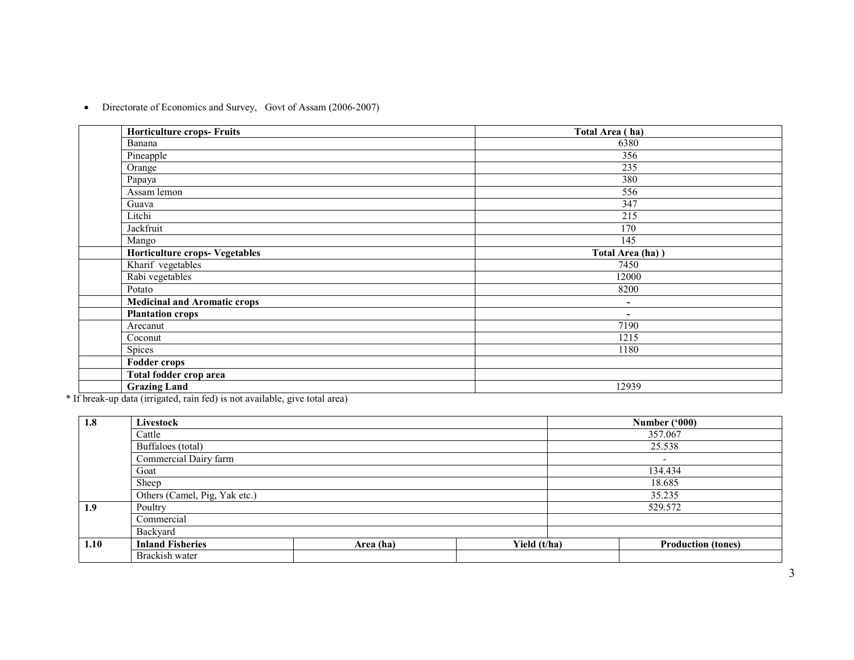• Directorate of Economics and Survey, Govt of Assam (2006-2007)

| <b>Horticulture crops- Fruits</b>   | Total Area (ha)          |
|-------------------------------------|--------------------------|
| Banana                              | 6380                     |
| Pineapple                           | 356                      |
| Orange                              | 235                      |
| Papaya                              | 380                      |
| Assam lemon                         | 556                      |
| Guava                               | 347                      |
| Litchi                              | 215                      |
| Jackfruit                           | 170                      |
| Mango                               | 145                      |
| Horticulture crops- Vegetables      | Total Area (ha) )        |
| Kharif vegetables                   | 7450                     |
| Rabi vegetables                     | 12000                    |
| Potato                              | 8200                     |
| <b>Medicinal and Aromatic crops</b> | $\overline{\phantom{a}}$ |
| <b>Plantation crops</b>             | $\overline{\phantom{a}}$ |
| Arecanut                            | 7190                     |
| Coconut                             | 1215                     |
| Spices                              | 1180                     |
| <b>Fodder crops</b>                 |                          |
| Total fodder crop area              |                          |
| <b>Grazing Land</b>                 | 12939                    |

\* If break-up data (irrigated, rain fed) is not available, give total area)

| 1.8  | Livestock                     |           |              | Number ('000)             |
|------|-------------------------------|-----------|--------------|---------------------------|
|      | Cattle                        |           |              | 357.067                   |
|      | Buffaloes (total)             |           |              | 25.538                    |
|      | Commercial Dairy farm         |           |              | $\overline{\phantom{a}}$  |
|      | Goat                          |           |              | 134.434                   |
|      | Sheep                         |           |              | 18.685                    |
|      | Others (Camel, Pig, Yak etc.) |           |              | 35.235                    |
| 1.9  | Poultry                       |           |              | 529.572                   |
|      | Commercial                    |           |              |                           |
|      | Backyard                      |           |              |                           |
| 1.10 | <b>Inland Fisheries</b>       | Area (ha) | Yield (t/ha) | <b>Production (tones)</b> |
|      | Brackish water                |           |              |                           |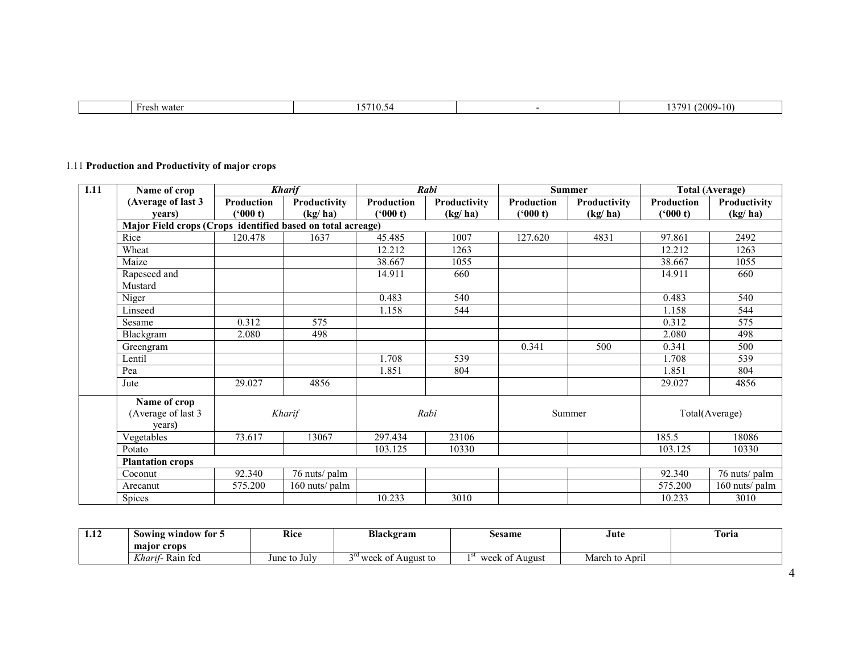| wate<br>$-0.0$ | -- | 2009<br>$\sim$<br>$\sqrt{ }$<br>$\cdots$<br>. |
|----------------|----|-----------------------------------------------|
|                |    |                                               |

# 1.11 Production and Productivity of major crops

| 1.11 | Name of crop                                                |            | <b>Kharif</b>  |            | Rabi         |            | <b>Summer</b> |                   | <b>Total (Average)</b> |
|------|-------------------------------------------------------------|------------|----------------|------------|--------------|------------|---------------|-------------------|------------------------|
|      | (Average of last 3                                          | Production | Productivity   | Production | Productivity | Production | Productivity  | <b>Production</b> | Productivity           |
|      | vears)                                                      | (*000 t)   | (kg/ha)        | ('000 t)   | (kg/ha)      | (900 t)    | (kg/ha)       | (900 t)           | (kg/ha)                |
|      | Major Field crops (Crops identified based on total acreage) |            |                |            |              |            |               |                   |                        |
|      | Rice                                                        | 120.478    | 1637           | 45.485     | 1007         | 127.620    | 4831          | 97.861            | 2492                   |
|      | Wheat                                                       |            |                | 12.212     | 1263         |            |               | 12.212            | 1263                   |
|      | Maize                                                       |            |                | 38.667     | 1055         |            |               | 38.667            | 1055                   |
|      | Rapeseed and                                                |            |                | 14.911     | 660          |            |               | 14.911            | 660                    |
|      | Mustard                                                     |            |                |            |              |            |               |                   |                        |
|      | Niger                                                       |            |                | 0.483      | 540          |            |               | 0.483             | 540                    |
|      | Linseed                                                     |            |                | 1.158      | 544          |            |               | 1.158             | 544                    |
|      | Sesame                                                      | 0.312      | 575            |            |              |            |               | 0.312             | 575                    |
|      | Blackgram                                                   | 2.080      | 498            |            |              |            |               | 2.080             | 498                    |
|      | Greengram                                                   |            |                |            |              | 0.341      | 500           | 0.341             | 500                    |
|      | Lentil                                                      |            |                | 1.708      | 539          |            |               | 1.708             | 539                    |
|      | Pea                                                         |            |                | 1.851      | 804          |            |               | 1.851             | 804                    |
|      | Jute                                                        | 29.027     | 4856           |            |              |            |               | 29.027            | 4856                   |
|      | Name of crop<br>(Average of last 3<br>years)                |            | Kharif         |            | Rabi         |            | Summer        |                   | Total(Average)         |
|      | Vegetables                                                  | 73.617     | 13067          | 297.434    | 23106        |            |               | 185.5             | 18086                  |
|      | Potato                                                      |            |                | 103.125    | 10330        |            |               | 103.125           | 10330                  |
|      | <b>Plantation crops</b>                                     |            |                |            |              |            |               |                   |                        |
|      | Coconut                                                     | 92.340     | 76 nuts/ palm  |            |              |            |               | 92.340            | 76 nuts/ palm          |
|      | Arecanut                                                    | 575.200    | 160 nuts/ palm |            |              |            |               | 575.200           | 160 nuts/ palm         |
|      | Spices                                                      |            |                | 10.233     | 3010         |            |               | 10.233            | 3010                   |

| 1.12 | Sowing window for 5                | Rice<br>$\sim$ $\sim$ | Blackgram                                           | sesame            | Jute<br>.      | Toria |
|------|------------------------------------|-----------------------|-----------------------------------------------------|-------------------|----------------|-------|
|      | major crops                        |                       |                                                     |                   |                |       |
|      | $T$ $T$ $T$<br>Rain fed<br>Kharit- | June to July          | $\gamma$ <sup>rd</sup> week $\sigma$ .<br>August to | week oi<br>August | March to April |       |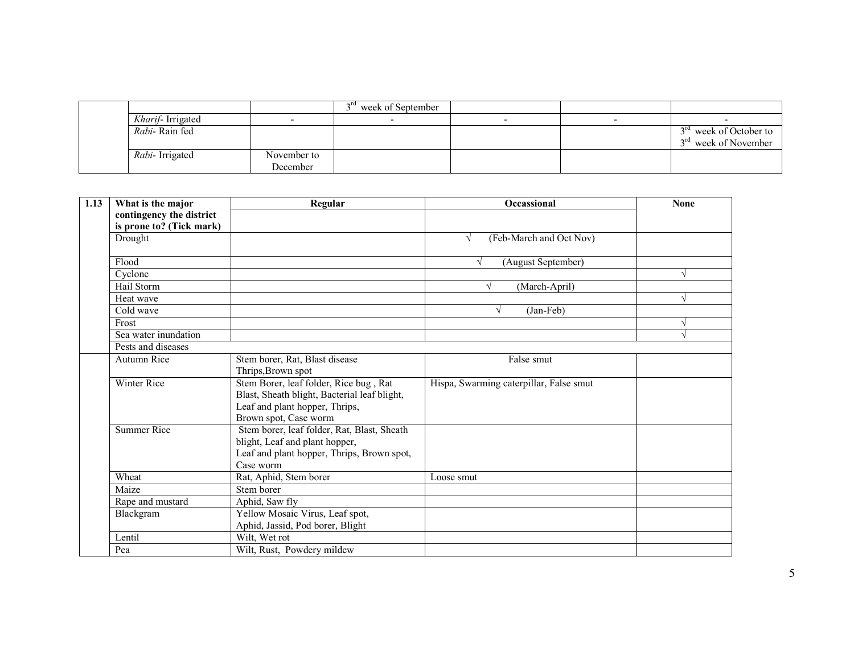|                          |                         | <sup>a</sup> week of September |  |                                                                        |
|--------------------------|-------------------------|--------------------------------|--|------------------------------------------------------------------------|
| <i>Kharif</i> -Irrigated |                         |                                |  |                                                                        |
| Rabi-Rain fed            |                         |                                |  | 3 <sup>rd</sup> week of October to<br>3 <sup>rd</sup> week of November |
| Rabi-Irrigated           | November to<br>December |                                |  |                                                                        |

| 1.13 | What is the major             | Regular                                      | Occassional                             | <b>None</b> |
|------|-------------------------------|----------------------------------------------|-----------------------------------------|-------------|
|      | contingency the district      |                                              |                                         |             |
|      | is prone to? (Tick mark)      |                                              |                                         |             |
|      | Drought                       |                                              | (Feb-March and Oct Nov)<br>$\sqrt{ }$   |             |
|      |                               |                                              |                                         |             |
|      | Flood                         |                                              | (August September)                      |             |
|      | Cyclone                       |                                              |                                         |             |
|      | Hail Storm                    |                                              | (March-April)                           |             |
|      | Heat wave                     |                                              |                                         | N           |
|      | $\overline{\text{Cold}}$ wave |                                              | (Jan-Feb)<br>V                          |             |
|      | Frost                         |                                              |                                         |             |
|      | Sea water inundation          |                                              |                                         |             |
|      | Pests and diseases            |                                              |                                         |             |
|      | Autumn Rice                   | Stem borer, Rat, Blast disease               | False smut                              |             |
|      |                               | Thrips, Brown spot                           |                                         |             |
|      | Winter Rice                   | Stem Borer, leaf folder, Rice bug, Rat       | Hispa, Swarming caterpillar, False smut |             |
|      |                               | Blast, Sheath blight, Bacterial leaf blight, |                                         |             |
|      |                               | Leaf and plant hopper, Thrips,               |                                         |             |
|      |                               | Brown spot, Case worm                        |                                         |             |
|      | <b>Summer Rice</b>            | Stem borer, leaf folder, Rat, Blast, Sheath  |                                         |             |
|      |                               | blight, Leaf and plant hopper,               |                                         |             |
|      |                               | Leaf and plant hopper, Thrips, Brown spot,   |                                         |             |
|      |                               | Case worm                                    |                                         |             |
|      | Wheat                         | Rat, Aphid, Stem borer                       | Loose smut                              |             |
|      | Maize                         | Stem borer                                   |                                         |             |
|      | Rape and mustard              | Aphid, Saw fly                               |                                         |             |
|      | Blackgram                     | Yellow Mosaic Virus, Leaf spot,              |                                         |             |
|      |                               | Aphid, Jassid, Pod borer, Blight             |                                         |             |
|      | Lentil                        | Wilt, Wet rot                                |                                         |             |
|      | Pea                           | Wilt, Rust, Powdery mildew                   |                                         |             |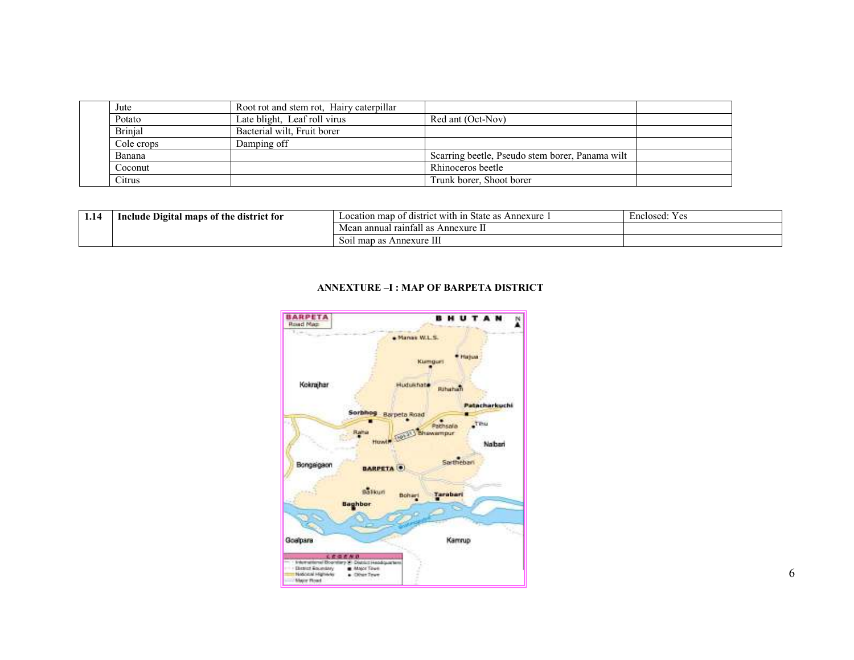| Jute           | Root rot and stem rot, Hairy caterpillar |                                                 |  |
|----------------|------------------------------------------|-------------------------------------------------|--|
| Potato         | Late blight, Leaf roll virus             | Red ant (Oct-Nov)                               |  |
| <b>Brinjal</b> | Bacterial wilt, Fruit borer              |                                                 |  |
| Cole crops     | Damping off                              |                                                 |  |
| Banana         |                                          | Scarring beetle, Pseudo stem borer, Panama wilt |  |
| Coconut        |                                          | Rhinoceros beetle                               |  |
| Citrus         |                                          | Trunk borer, Shoot borer                        |  |

| 1.14 | Include Digital maps of the district for | Annexure<br>i district with !<br>map of<br>State as<br>1n<br>ocation | Y es<br>Enclosed: |
|------|------------------------------------------|----------------------------------------------------------------------|-------------------|
|      |                                          | - 11<br>Mean annual raintall as<br>Annexure II                       |                   |
|      |                                          | Annexure III<br>Soil map as                                          |                   |

#### ANNEXTURE –I : MAP OF BARPETA DISTRICT

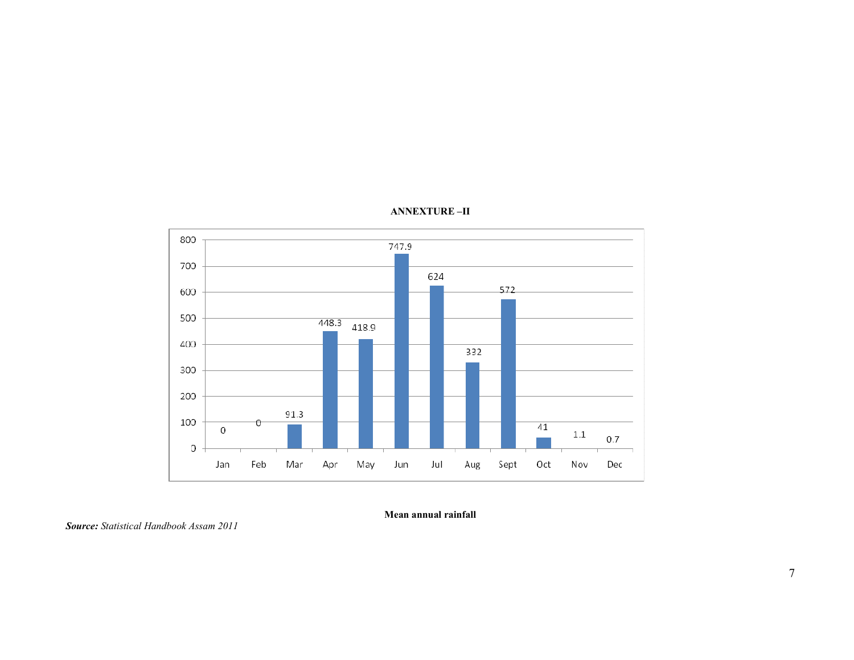



Mean annual rainfall

Source: Statistical Handbook Assam 2011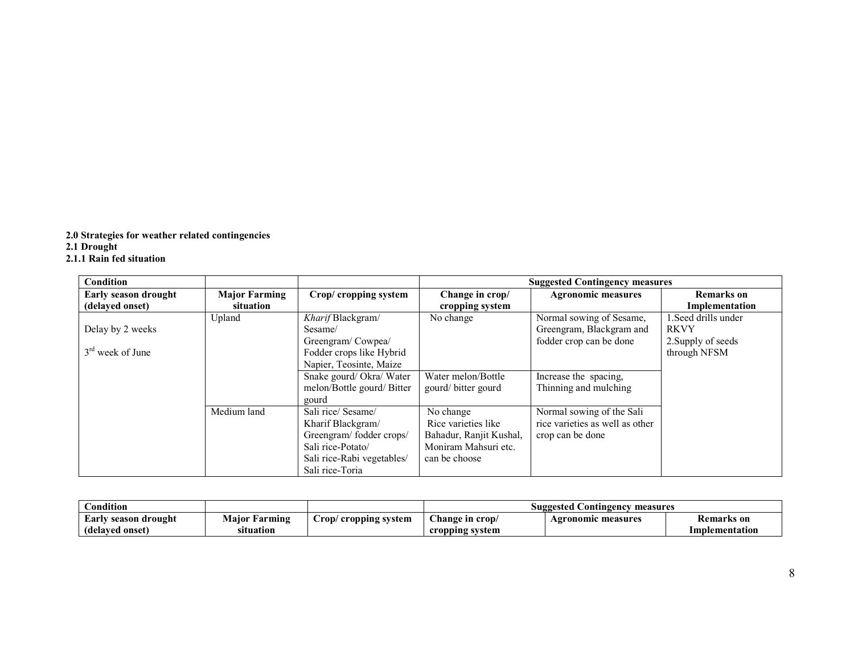2.0 Strategies for weather related contingencies 2.1 Drought 2.1.1 Rain fed situation

| <b>Condition</b>                        |                                   |                                                                                                                                          |                                                                                                      | <b>Suggested Contingency measures</b>                                            |                                                                           |
|-----------------------------------------|-----------------------------------|------------------------------------------------------------------------------------------------------------------------------------------|------------------------------------------------------------------------------------------------------|----------------------------------------------------------------------------------|---------------------------------------------------------------------------|
| Early season drought<br>(delayed onset) | <b>Major Farming</b><br>situation | Crop/ cropping system                                                                                                                    | Change in crop/<br>cropping system                                                                   | <b>Agronomic measures</b>                                                        | Remarks on<br>Implementation                                              |
| Delay by 2 weeks<br>$3rd$ week of June  | Upland                            | Kharif Blackgram/<br>Sesame/<br>Greengram/Cowpea/<br>Fodder crops like Hybrid<br>Napier, Teosinte, Maize                                 | No change                                                                                            | Normal sowing of Sesame,<br>Greengram, Blackgram and<br>fodder crop can be done  | 1. Seed drills under<br><b>RKVY</b><br>2. Supply of seeds<br>through NFSM |
|                                         |                                   | Snake gourd/Okra/Water<br>melon/Bottle gourd/Bitter<br>gourd                                                                             | Water melon/Bottle<br>gourd/bitter gourd                                                             | Increase the spacing,<br>Thinning and mulching                                   |                                                                           |
|                                         | Medium land                       | Sali rice/ Sesame/<br>Kharif Blackgram/<br>Greengram/fodder crops/<br>Sali rice-Potato/<br>Sali rice-Rabi vegetables/<br>Sali rice-Toria | No change<br>Rice varieties like<br>Bahadur, Ranjit Kushal,<br>Moniram Mahsuri etc.<br>can be choose | Normal sowing of the Sali<br>rice varieties as well as other<br>crop can be done |                                                                           |

| Condition                 |               |                           | Suggested<br>Contingency measures |                           |                |  |
|---------------------------|---------------|---------------------------|-----------------------------------|---------------------------|----------------|--|
| ' season drought<br>Larlv | Major Farming | rop/<br>/ cropping system | ⌒"<br>Change in $\mathbf{crop}/$  | <b>Agronomic measures</b> | Remarks on     |  |
| (delayed onset)           | situation     |                           | cropping system                   |                           | Implementation |  |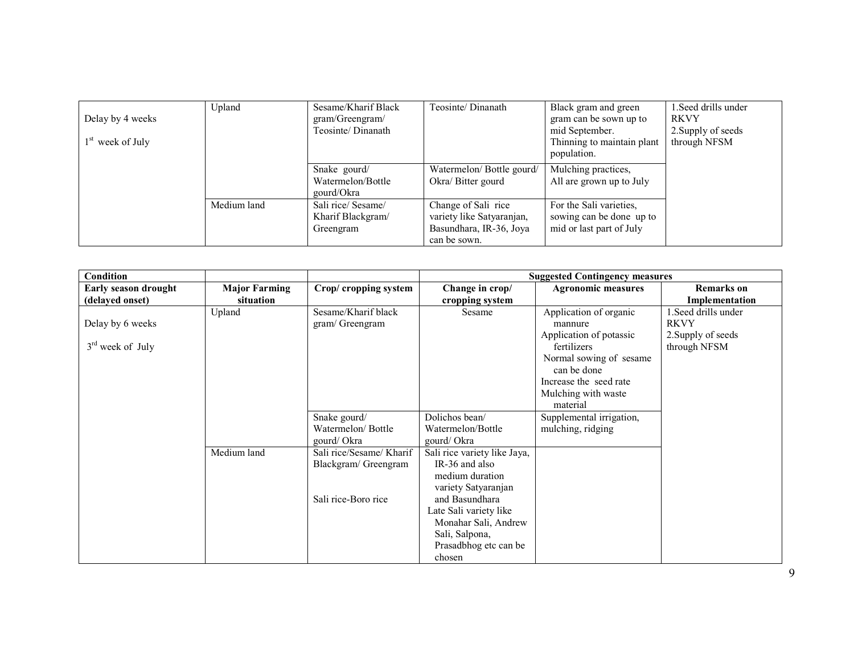| Delay by 4 weeks   | Upland      | Sesame/Kharif Black<br>gram/Greengram/               | Teosinte/Dinanath                                                           | Black gram and green<br>gram can be sown up to                                  | 1. Seed drills under<br><b>RKVY</b> |
|--------------------|-------------|------------------------------------------------------|-----------------------------------------------------------------------------|---------------------------------------------------------------------------------|-------------------------------------|
|                    |             | Teosinte/Dinanath                                    |                                                                             | mid September.                                                                  | 2. Supply of seeds                  |
| $1st$ week of July |             |                                                      |                                                                             | Thinning to maintain plant<br>population.                                       | through NFSM                        |
|                    |             | Snake gourd/                                         | Watermelon/Bottle gourd/                                                    | Mulching practices,                                                             |                                     |
|                    |             | Watermelon/Bottle<br>gourd/Okra                      | Okra/ Bitter gourd                                                          | All are grown up to July                                                        |                                     |
|                    | Medium land | Sali rice/ Sesame/<br>Kharif Blackgram/<br>Greengram | Change of Sali rice<br>variety like Satyaranjan,<br>Basundhara, IR-36, Joya | For the Sali varieties,<br>sowing can be done up to<br>mid or last part of July |                                     |
|                    |             |                                                      | can be sown.                                                                |                                                                                 |                                     |

| Condition                   |                      |                          |                              | <b>Suggested Contingency measures</b> |                      |
|-----------------------------|----------------------|--------------------------|------------------------------|---------------------------------------|----------------------|
| <b>Early season drought</b> | <b>Major Farming</b> | Crop/ cropping system    | Change in crop/              | <b>Agronomic measures</b>             | <b>Remarks</b> on    |
| (delayed onset)             | situation            |                          | cropping system              |                                       | Implementation       |
|                             | Upland               | Sesame/Kharif black      | Sesame                       | Application of organic                | 1. Seed drills under |
| Delay by 6 weeks            |                      | gram/ Greengram          |                              | mannure                               | <b>RKVY</b>          |
|                             |                      |                          |                              | Application of potassic               | 2. Supply of seeds   |
| $3rd$ week of July          |                      |                          |                              | fertilizers                           | through NFSM         |
|                             |                      |                          |                              | Normal sowing of sesame               |                      |
|                             |                      |                          |                              | can be done                           |                      |
|                             |                      |                          |                              | Increase the seed rate                |                      |
|                             |                      |                          |                              | Mulching with waste                   |                      |
|                             |                      |                          |                              | material                              |                      |
|                             |                      | Snake gourd/             | Dolichos bean/               | Supplemental irrigation,              |                      |
|                             |                      | Watermelon/Bottle        | Watermelon/Bottle            | mulching, ridging                     |                      |
|                             |                      | gourd/Okra               | gourd/Okra                   |                                       |                      |
|                             | Medium land          | Sali rice/Sesame/ Kharif | Sali rice variety like Jaya, |                                       |                      |
|                             |                      | Blackgram/ Greengram     | IR-36 and also               |                                       |                      |
|                             |                      |                          | medium duration              |                                       |                      |
|                             |                      |                          | variety Satyaranjan          |                                       |                      |
|                             |                      | Sali rice-Boro rice      | and Basundhara               |                                       |                      |
|                             |                      |                          | Late Sali variety like       |                                       |                      |
|                             |                      |                          | Monahar Sali, Andrew         |                                       |                      |
|                             |                      |                          | Sali, Salpona,               |                                       |                      |
|                             |                      |                          | Prasadbhog etc can be        |                                       |                      |
|                             |                      |                          | chosen                       |                                       |                      |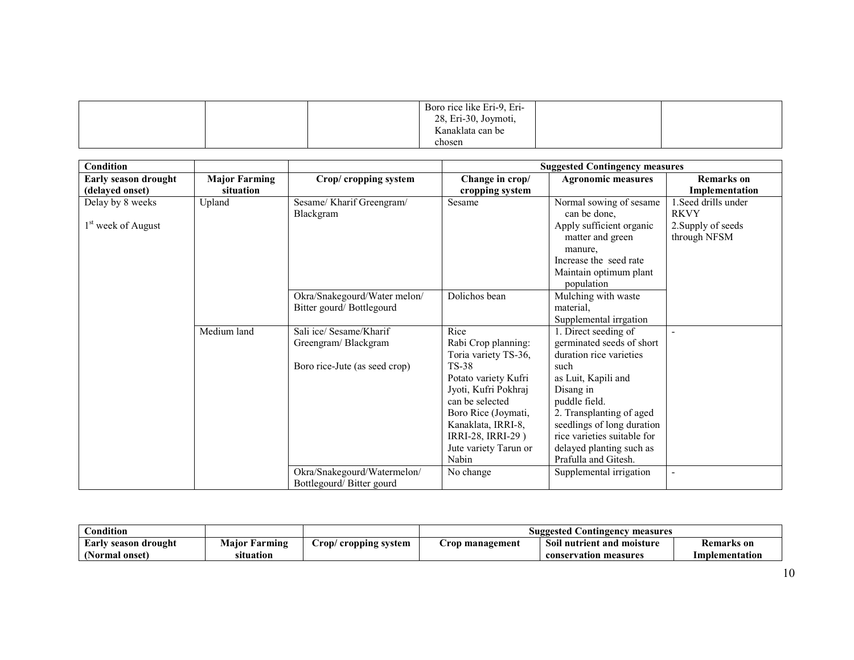|  | Boro rice like Eri-9, Eri-<br>28, Eri-30, Joymoti, |  |
|--|----------------------------------------------------|--|
|  | Kanaklata can be                                   |  |
|  | chosen                                             |  |

| <b>Condition</b>               |                      |                               |                       | <b>Suggested Contingency measures</b> |                     |
|--------------------------------|----------------------|-------------------------------|-----------------------|---------------------------------------|---------------------|
| Early season drought           | <b>Major Farming</b> | Crop/ cropping system         | Change in crop/       | <b>Agronomic measures</b>             | <b>Remarks</b> on   |
| (delayed onset)                | situation            |                               | cropping system       |                                       | Implementation      |
| Delay by 8 weeks               | Upland               | Sesame/ Kharif Greengram/     | Sesame                | Normal sowing of sesame               | 1.Seed drills under |
|                                |                      | Blackgram                     |                       | can be done,                          | <b>RKVY</b>         |
| 1 <sup>st</sup> week of August |                      |                               |                       | Apply sufficient organic              | 2. Supply of seeds  |
|                                |                      |                               |                       | matter and green                      | through NFSM        |
|                                |                      |                               |                       | manure,                               |                     |
|                                |                      |                               |                       | Increase the seed rate                |                     |
|                                |                      |                               |                       | Maintain optimum plant                |                     |
|                                |                      |                               |                       | population                            |                     |
|                                |                      | Okra/Snakegourd/Water melon/  | Dolichos bean         | Mulching with waste                   |                     |
|                                |                      | Bitter gourd/Bottlegourd      |                       | material,                             |                     |
|                                |                      |                               |                       | Supplemental irrgation                |                     |
|                                | Medium land          | Sali ice/ Sesame/Kharif       | Rice                  | 1. Direct seeding of                  |                     |
|                                |                      | Greengram/Blackgram           | Rabi Crop planning:   | germinated seeds of short             |                     |
|                                |                      |                               | Toria variety TS-36,  | duration rice varieties               |                     |
|                                |                      | Boro rice-Jute (as seed crop) | <b>TS-38</b>          | such                                  |                     |
|                                |                      |                               | Potato variety Kufri  | as Luit, Kapili and                   |                     |
|                                |                      |                               | Jyoti, Kufri Pokhraj  | Disang in                             |                     |
|                                |                      |                               | can be selected       | puddle field.                         |                     |
|                                |                      |                               | Boro Rice (Joymati,   | 2. Transplanting of aged              |                     |
|                                |                      |                               | Kanaklata, IRRI-8,    | seedlings of long duration            |                     |
|                                |                      |                               | IRRI-28, IRRI-29)     | rice varieties suitable for           |                     |
|                                |                      |                               | Jute variety Tarun or | delayed planting such as              |                     |
|                                |                      |                               | Nabin                 | Prafulla and Gitesh.                  |                     |
|                                |                      | Okra/Snakegourd/Watermelon/   | No change             | Supplemental irrigation               | $\blacksquare$      |
|                                |                      | Bottlegourd/Bitter gourd      |                       |                                       |                     |

| Condition                             |                      |                         | <b>Suggested Contingency</b><br>measures |                            |                   |  |
|---------------------------------------|----------------------|-------------------------|------------------------------------------|----------------------------|-------------------|--|
| Early<br><i><b>season drought</b></i> | <b>Maior Farming</b> | rop/<br>cropping system | rop management                           | Soil nutrient and moisture | <b>Remarks</b> on |  |
| <b>Normal onset)</b>                  | situation            |                         |                                          | conservation measures      | Implementation    |  |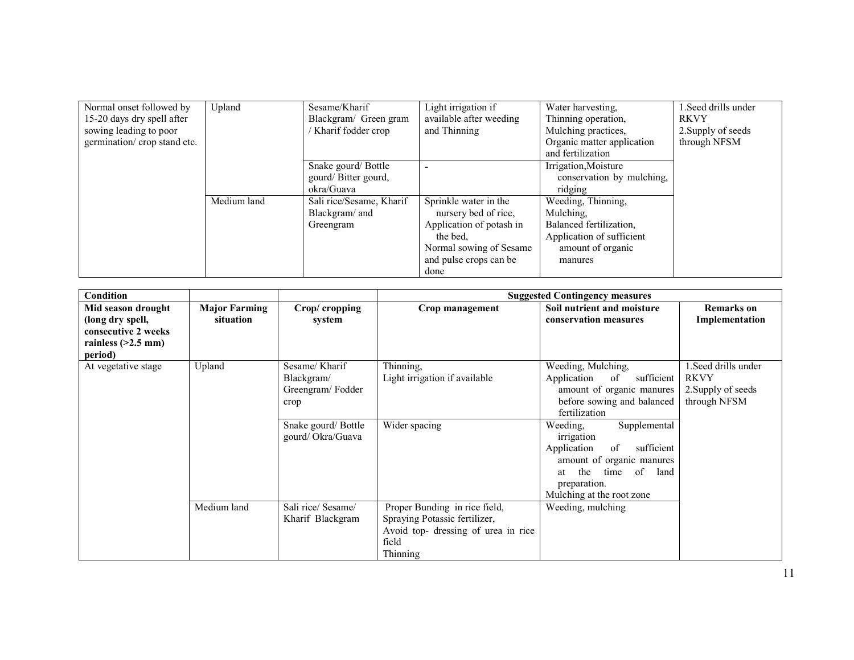| Normal onset followed by    | Upland      | Sesame/Kharif            | Light irrigation if      | Water harvesting,          | 1. Seed drills under |
|-----------------------------|-------------|--------------------------|--------------------------|----------------------------|----------------------|
| 15-20 days dry spell after  |             | Blackgram/ Green gram    | available after weeding  | Thinning operation,        | <b>RKVY</b>          |
| sowing leading to poor      |             | Kharif fodder crop       | and Thinning             | Mulching practices,        | 2. Supply of seeds   |
| germination/crop stand etc. |             |                          |                          | Organic matter application | through NFSM         |
|                             |             |                          |                          | and fertilization          |                      |
|                             |             | Snake gourd/Bottle       |                          | Irrigation, Moisture       |                      |
|                             |             | gourd/Bitter gourd,      |                          | conservation by mulching,  |                      |
|                             |             | okra/Guava               |                          | ridging                    |                      |
|                             | Medium land | Sali rice/Sesame, Kharif | Sprinkle water in the    | Weeding, Thinning,         |                      |
|                             |             | Blackgram/ and           | nursery bed of rice,     | Mulching.                  |                      |
|                             |             | Greengram                | Application of potash in | Balanced fertilization.    |                      |
|                             |             |                          | the bed.                 | Application of sufficient  |                      |
|                             |             |                          | Normal sowing of Sesame  | amount of organic          |                      |
|                             |             |                          | and pulse crops can be   | manures                    |                      |
|                             |             |                          | done                     |                            |                      |

| Condition                                                                                        |                                   |                                                                                                   |                                                                                                                            | <b>Suggested Contingency measures</b>                                                                                                                                                                                                                                                                                    |                                                                           |
|--------------------------------------------------------------------------------------------------|-----------------------------------|---------------------------------------------------------------------------------------------------|----------------------------------------------------------------------------------------------------------------------------|--------------------------------------------------------------------------------------------------------------------------------------------------------------------------------------------------------------------------------------------------------------------------------------------------------------------------|---------------------------------------------------------------------------|
| Mid season drought<br>(long dry spell,<br>consecutive 2 weeks<br>rainless $(>2.5$ mm)<br>period) | <b>Major Farming</b><br>situation | Crop/cropping<br>system                                                                           | Crop management                                                                                                            | Soil nutrient and moisture<br>conservation measures                                                                                                                                                                                                                                                                      | <b>Remarks</b> on<br>Implementation                                       |
| At vegetative stage                                                                              | Upland                            | Sesame/Kharif<br>Blackgram/<br>Greengram/Fodder<br>crop<br>Snake gourd/Bottle<br>gourd/Okra/Guava | Thinning,<br>Light irrigation if available<br>Wider spacing                                                                | Weeding, Mulching,<br>Application<br>of<br>sufficient<br>amount of organic manures<br>before sowing and balanced<br>fertilization<br>Supplemental<br>Weeding,<br>irrigation<br>sufficient<br>Application<br>of<br>amount of organic manures<br>time of<br>the<br>land<br>at<br>preparation.<br>Mulching at the root zone | 1. Seed drills under<br><b>RKVY</b><br>2. Supply of seeds<br>through NFSM |
|                                                                                                  | Medium land                       | Sali rice/ Sesame/<br>Kharif Blackgram                                                            | Proper Bunding in rice field,<br>Spraying Potassic fertilizer,<br>Avoid top- dressing of urea in rice<br>field<br>Thinning | Weeding, mulching                                                                                                                                                                                                                                                                                                        |                                                                           |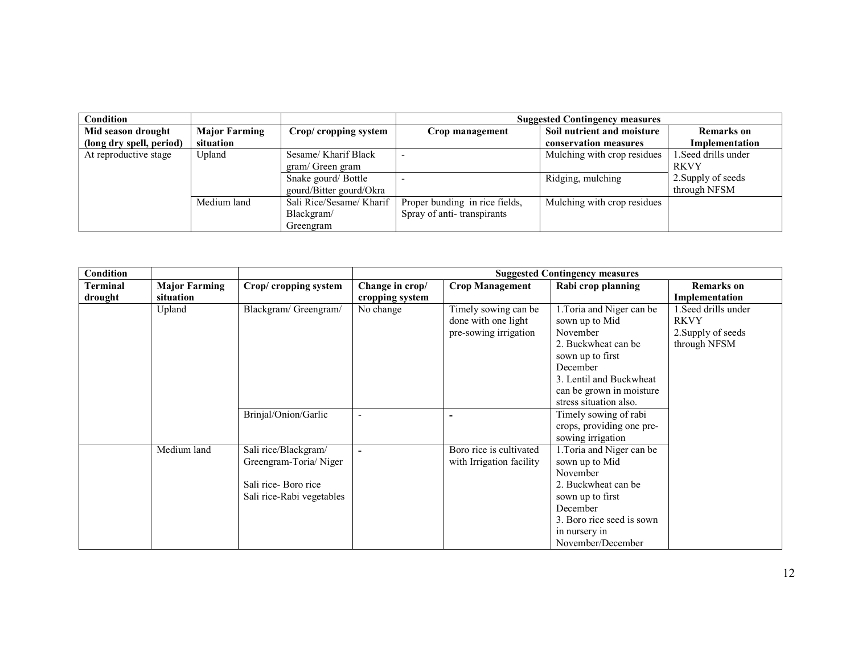| <b>Condition</b>         |                      |                          |                                | <b>Suggested Contingency measures</b> |                     |
|--------------------------|----------------------|--------------------------|--------------------------------|---------------------------------------|---------------------|
| Mid season drought       | <b>Major Farming</b> | Crop/ cropping system    | Crop management                | Soil nutrient and moisture            | <b>Remarks</b> on   |
| (long dry spell, period) | situation            |                          |                                | conservation measures                 | Implementation      |
| At reproductive stage    | Upland               | Sesame/ Kharif Black     |                                | Mulching with crop residues           | l.Seed drills under |
|                          |                      | gram/ Green gram         |                                |                                       | <b>RKVY</b>         |
|                          |                      | Snake gourd/Bottle       |                                | Ridging, mulching                     | 2. Supply of seeds  |
|                          |                      | gourd/Bitter gourd/Okra  |                                |                                       | through NFSM        |
|                          | Medium land          | Sali Rice/Sesame/ Kharif | Proper bunding in rice fields, | Mulching with crop residues           |                     |
|                          |                      | Blackgram/               | Spray of anti-transpirants     |                                       |                     |
|                          |                      | Greengram                |                                |                                       |                     |

| <b>Condition</b>    |                                   |                                                                                                   |                                    |                                                                      | <b>Suggested Contingency measures</b>                                                                                                                                                           |                                                                           |
|---------------------|-----------------------------------|---------------------------------------------------------------------------------------------------|------------------------------------|----------------------------------------------------------------------|-------------------------------------------------------------------------------------------------------------------------------------------------------------------------------------------------|---------------------------------------------------------------------------|
| Terminal<br>drought | <b>Major Farming</b><br>situation | Crop/ cropping system                                                                             | Change in crop/<br>cropping system | <b>Crop Management</b>                                               | Rabi crop planning                                                                                                                                                                              | <b>Remarks</b> on<br>Implementation                                       |
|                     | Upland                            | Blackgram/Greengram/                                                                              | No change                          | Timely sowing can be<br>done with one light<br>pre-sowing irrigation | 1. Toria and Niger can be<br>sown up to Mid<br>November<br>2. Buckwheat can be<br>sown up to first<br>December<br>3. Lentil and Buckwheat<br>can be grown in moisture<br>stress situation also. | 1. Seed drills under<br><b>RKVY</b><br>2. Supply of seeds<br>through NFSM |
|                     |                                   | Brinjal/Onion/Garlic                                                                              |                                    |                                                                      | Timely sowing of rabi<br>crops, providing one pre-<br>sowing irrigation                                                                                                                         |                                                                           |
|                     | Medium land                       | Sali rice/Blackgram/<br>Greengram-Toria/Niger<br>Sali rice-Boro rice<br>Sali rice-Rabi vegetables |                                    | Boro rice is cultivated<br>with Irrigation facility                  | 1. Toria and Niger can be<br>sown up to Mid<br>November<br>2. Buckwheat can be<br>sown up to first<br>December<br>3. Boro rice seed is sown<br>in nursery in<br>November/December               |                                                                           |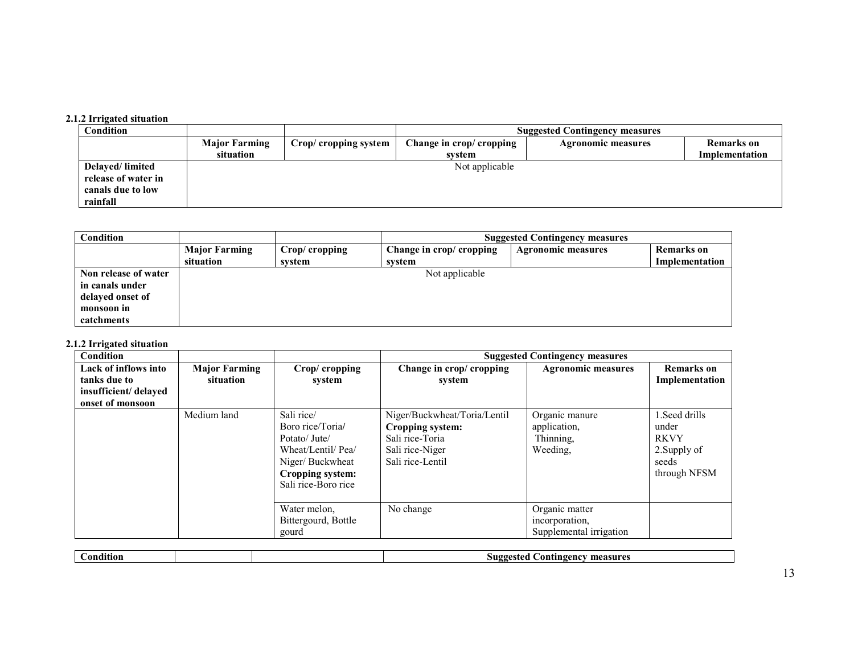## 2.1.2 Irrigated situation

| Condition           |                      |                       |                          | <b>Suggested Contingency measures</b> |                   |
|---------------------|----------------------|-----------------------|--------------------------|---------------------------------------|-------------------|
|                     | <b>Major Farming</b> | Crop/ cropping system | Change in crop/ cropping | <b>Agronomic measures</b>             | <b>Remarks</b> on |
|                     | situation            |                       | system                   |                                       | Implementation    |
| Delayed/limited     |                      |                       | Not applicable           |                                       |                   |
| release of water in |                      |                       |                          |                                       |                   |
| canals due to low   |                      |                       |                          |                                       |                   |
| rainfall            |                      |                       |                          |                                       |                   |

| <b>Condition</b>     |                      |               |                          | <b>Suggested Contingency measures</b> |                |
|----------------------|----------------------|---------------|--------------------------|---------------------------------------|----------------|
|                      | <b>Major Farming</b> | Crop/cropping | Change in crop/ cropping | <b>Agronomic measures</b>             | Remarks on     |
|                      | situation            | system        | svstem                   |                                       | Implementation |
| Non release of water |                      |               | Not applicable           |                                       |                |
| in canals under      |                      |               |                          |                                       |                |
| delayed onset of     |                      |               |                          |                                       |                |
| monsoon in           |                      |               |                          |                                       |                |
| catchments           |                      |               |                          |                                       |                |

#### 2.1.2 Irrigated situation

| Condition                                                                        |                                   |                                                                                                                                    |                                                                                                            | <b>Suggested Contingency measures</b>                       |                                                                                |
|----------------------------------------------------------------------------------|-----------------------------------|------------------------------------------------------------------------------------------------------------------------------------|------------------------------------------------------------------------------------------------------------|-------------------------------------------------------------|--------------------------------------------------------------------------------|
| Lack of inflows into<br>tanks due to<br>insufficient/delayed<br>onset of monsoon | <b>Major Farming</b><br>situation | Crop/cropping<br>system                                                                                                            | Change in crop/ cropping<br>system                                                                         | <b>Agronomic measures</b>                                   | <b>Remarks</b> on<br>Implementation                                            |
|                                                                                  | Medium land                       | Sali rice/<br>Boro rice/Toria/<br>Potato/Jute/<br>Wheat/Lentil/ Pea/<br>Niger/Buckwheat<br>Cropping system:<br>Sali rice-Boro rice | Niger/Buckwheat/Toria/Lentil<br>Cropping system:<br>Sali rice-Toria<br>Sali rice-Niger<br>Sali rice-Lentil | Organic manure<br>application,<br>Thinning,<br>Weeding,     | l.Seed drills<br>under<br><b>RKVY</b><br>2. Supply of<br>seeds<br>through NFSM |
|                                                                                  |                                   | Water melon,<br>Bittergourd, Bottle<br>gourd                                                                                       | No change                                                                                                  | Organic matter<br>incorporation,<br>Supplemental irrigation |                                                                                |

| л. | ondition | measures<br>.suøc<br>.ontingenc<br>$-11$ |
|----|----------|------------------------------------------|
|    |          |                                          |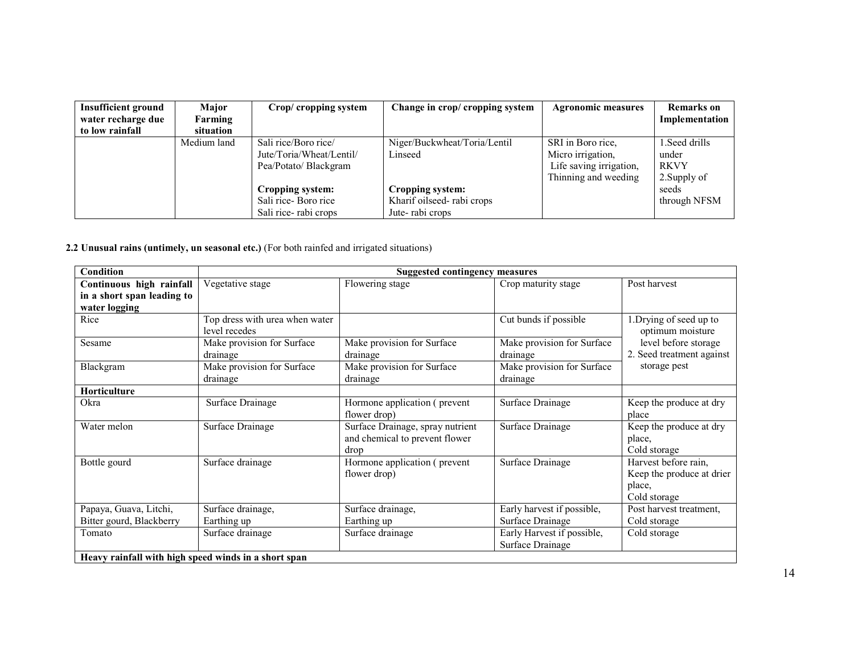| <b>Insufficient ground</b> | Major       | Crop/ cropping system    | Change in crop/ cropping system | <b>Agronomic measures</b> | <b>Remarks</b> on |
|----------------------------|-------------|--------------------------|---------------------------------|---------------------------|-------------------|
| water recharge due         | Farming     |                          |                                 |                           | Implementation    |
| to low rainfall            | situation   |                          |                                 |                           |                   |
|                            | Medium land | Sali rice/Boro rice/     | Niger/Buckwheat/Toria/Lentil    | SRI in Boro rice.         | 1. Seed drills    |
|                            |             | Jute/Toria/Wheat/Lentil/ | Linseed                         | Micro irrigation.         | under             |
|                            |             | Pea/Potato/ Blackgram    |                                 | Life saving irrigation,   | <b>RKVY</b>       |
|                            |             |                          |                                 | Thinning and weeding      | 2. Supply of      |
|                            |             | Cropping system:         | Cropping system:                |                           | seeds             |
|                            |             | Sali rice-Boro rice      | Kharif oilseed-rabi crops       |                           | through NFSM      |
|                            |             | Sali rice-rabi crops     | Jute-rabi crops                 |                           |                   |

# 2.2 Unusual rains (untimely, un seasonal etc.) (For both rainfed and irrigated situations)

| <b>Condition</b>                                     |                                                 | <b>Suggested contingency measures</b>                                      |                                                |                                                                             |
|------------------------------------------------------|-------------------------------------------------|----------------------------------------------------------------------------|------------------------------------------------|-----------------------------------------------------------------------------|
| Continuous high rainfall                             | Vegetative stage                                | Flowering stage                                                            | Crop maturity stage                            | Post harvest                                                                |
| in a short span leading to                           |                                                 |                                                                            |                                                |                                                                             |
| water logging                                        |                                                 |                                                                            |                                                |                                                                             |
| Rice                                                 | Top dress with urea when water<br>level recedes |                                                                            | Cut bunds if possible                          | 1. Drying of seed up to<br>optimum moisture                                 |
| Sesame                                               | Make provision for Surface<br>drainage          | Make provision for Surface<br>drainage                                     | Make provision for Surface<br>drainage         | level before storage<br>2. Seed treatment against                           |
| Blackgram                                            | Make provision for Surface<br>drainage          | Make provision for Surface<br>drainage                                     | Make provision for Surface<br>drainage         | storage pest                                                                |
| <b>Horticulture</b>                                  |                                                 |                                                                            |                                                |                                                                             |
| Okra                                                 | Surface Drainage                                | Hormone application (prevent<br>flower drop)                               | Surface Drainage                               | Keep the produce at dry<br>place                                            |
| Water melon                                          | Surface Drainage                                | Surface Drainage, spray nutrient<br>and chemical to prevent flower<br>drop | Surface Drainage                               | Keep the produce at dry<br>place,<br>Cold storage                           |
| Bottle gourd                                         | Surface drainage                                | Hormone application (prevent)<br>flower drop)                              | Surface Drainage                               | Harvest before rain,<br>Keep the produce at drier<br>place,<br>Cold storage |
| Papaya, Guava, Litchi,                               | Surface drainage,                               | Surface drainage,                                                          | Early harvest if possible,                     | Post harvest treatment,                                                     |
| Bitter gourd, Blackberry                             | Earthing up                                     | Earthing up                                                                | Surface Drainage                               | Cold storage                                                                |
| Tomato                                               | Surface drainage                                | Surface drainage                                                           | Early Harvest if possible,<br>Surface Drainage | Cold storage                                                                |
| Heavy rainfall with high speed winds in a short span |                                                 |                                                                            |                                                |                                                                             |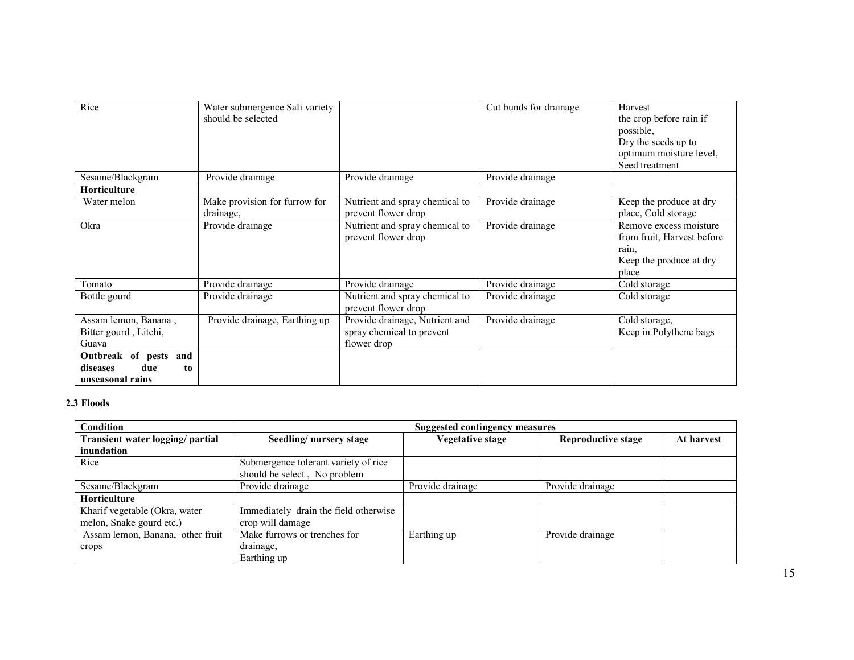| Rice                  | Water submergence Sali variety |                                | Cut bunds for drainage | Harvest                    |
|-----------------------|--------------------------------|--------------------------------|------------------------|----------------------------|
|                       | should be selected             |                                |                        |                            |
|                       |                                |                                |                        | the crop before rain if    |
|                       |                                |                                |                        | possible,                  |
|                       |                                |                                |                        | Dry the seeds up to        |
|                       |                                |                                |                        | optimum moisture level,    |
|                       |                                |                                |                        | Seed treatment             |
| Sesame/Blackgram      | Provide drainage               | Provide drainage               | Provide drainage       |                            |
| <b>Horticulture</b>   |                                |                                |                        |                            |
| Water melon           | Make provision for furrow for  | Nutrient and spray chemical to | Provide drainage       | Keep the produce at dry    |
|                       | drainage,                      | prevent flower drop            |                        | place, Cold storage        |
| Okra                  | Provide drainage               | Nutrient and spray chemical to | Provide drainage       | Remove excess moisture     |
|                       |                                | prevent flower drop            |                        | from fruit, Harvest before |
|                       |                                |                                |                        | rain.                      |
|                       |                                |                                |                        | Keep the produce at dry    |
|                       |                                |                                |                        | place                      |
| Tomato                | Provide drainage               | Provide drainage               | Provide drainage       | Cold storage               |
| Bottle gourd          | Provide drainage               | Nutrient and spray chemical to | Provide drainage       | Cold storage               |
|                       |                                | prevent flower drop            |                        |                            |
| Assam lemon, Banana,  | Provide drainage, Earthing up  | Provide drainage, Nutrient and | Provide drainage       | Cold storage,              |
| Bitter gourd, Litchi, |                                | spray chemical to prevent      |                        | Keep in Polythene bags     |
| Guava                 |                                | flower drop                    |                        |                            |
| Outbreak of pests and |                                |                                |                        |                            |
| due<br>diseases<br>to |                                |                                |                        |                            |
| unseasonal rains      |                                |                                |                        |                            |

# 2.3 Floods

| Condition                        | Suggested contingency measures        |                  |                           |            |  |  |
|----------------------------------|---------------------------------------|------------------|---------------------------|------------|--|--|
| Transient water logging/ partial | Seedling/nursery stage                | Vegetative stage | <b>Reproductive stage</b> | At harvest |  |  |
| inundation                       |                                       |                  |                           |            |  |  |
| Rice                             | Submergence tolerant variety of rice  |                  |                           |            |  |  |
|                                  | should be select, No problem          |                  |                           |            |  |  |
| Sesame/Blackgram                 | Provide drainage                      | Provide drainage | Provide drainage          |            |  |  |
| <b>Horticulture</b>              |                                       |                  |                           |            |  |  |
| Kharif vegetable (Okra, water    | Immediately drain the field otherwise |                  |                           |            |  |  |
| melon, Snake gourd etc.)         | crop will damage                      |                  |                           |            |  |  |
| Assam lemon, Banana, other fruit | Make furrows or trenches for          | Earthing up      | Provide drainage          |            |  |  |
| crops                            | drainage,                             |                  |                           |            |  |  |
|                                  | Earthing up                           |                  |                           |            |  |  |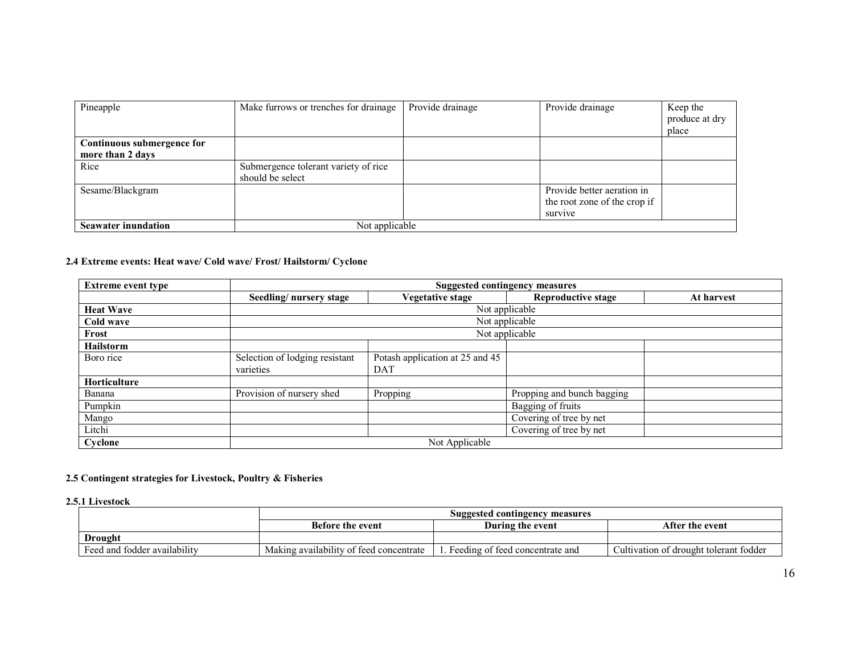| Pineapple                  | Make furrows or trenches for drainage | Provide drainage | Provide drainage             | Keep the<br>produce at dry<br>place |
|----------------------------|---------------------------------------|------------------|------------------------------|-------------------------------------|
| Continuous submergence for |                                       |                  |                              |                                     |
| more than 2 days           |                                       |                  |                              |                                     |
| Rice                       | Submergence tolerant variety of rice  |                  |                              |                                     |
|                            | should be select                      |                  |                              |                                     |
| Sesame/Blackgram           |                                       |                  | Provide better aeration in   |                                     |
|                            |                                       |                  | the root zone of the crop if |                                     |
|                            |                                       |                  | survive                      |                                     |
| <b>Seawater inundation</b> | Not applicable                        |                  |                              |                                     |

#### 2.4 Extreme events: Heat wave/ Cold wave/ Frost/ Hailstorm/ Cyclone

| <b>Extreme event type</b> |                                | <b>Suggested contingency measures</b> |                            |            |  |
|---------------------------|--------------------------------|---------------------------------------|----------------------------|------------|--|
|                           | Seedling/nursery stage         | <b>Vegetative stage</b>               | Reproductive stage         | At harvest |  |
| <b>Heat Wave</b>          |                                | Not applicable                        |                            |            |  |
| Cold wave                 |                                | Not applicable                        |                            |            |  |
| Frost                     |                                | Not applicable                        |                            |            |  |
| <b>Hailstorm</b>          |                                |                                       |                            |            |  |
| Boro rice                 | Selection of lodging resistant | Potash application at 25 and 45       |                            |            |  |
|                           | varieties                      | DAT                                   |                            |            |  |
| <b>Horticulture</b>       |                                |                                       |                            |            |  |
| Banana                    | Provision of nursery shed      | Propping                              | Propping and bunch bagging |            |  |
| Pumpkin                   |                                |                                       | Bagging of fruits          |            |  |
| Mango                     |                                |                                       | Covering of tree by net    |            |  |
| Litchi                    |                                |                                       | Covering of tree by net    |            |  |
| Cyclone                   | Not Applicable                 |                                       |                            |            |  |

#### 2.5 Contingent strategies for Livestock, Poultry & Fisheries

#### 2.5.1 Livestock

|                              | Suggested contingency measures          |                                   |                                        |
|------------------------------|-----------------------------------------|-----------------------------------|----------------------------------------|
|                              | <b>Before the event</b>                 | During the event                  | After the event                        |
| <b>Drought</b>               |                                         |                                   |                                        |
| Feed and fodder availability | Making availability of feed concentrate | . Feeding of feed concentrate and | Cultivation of drought tolerant fodder |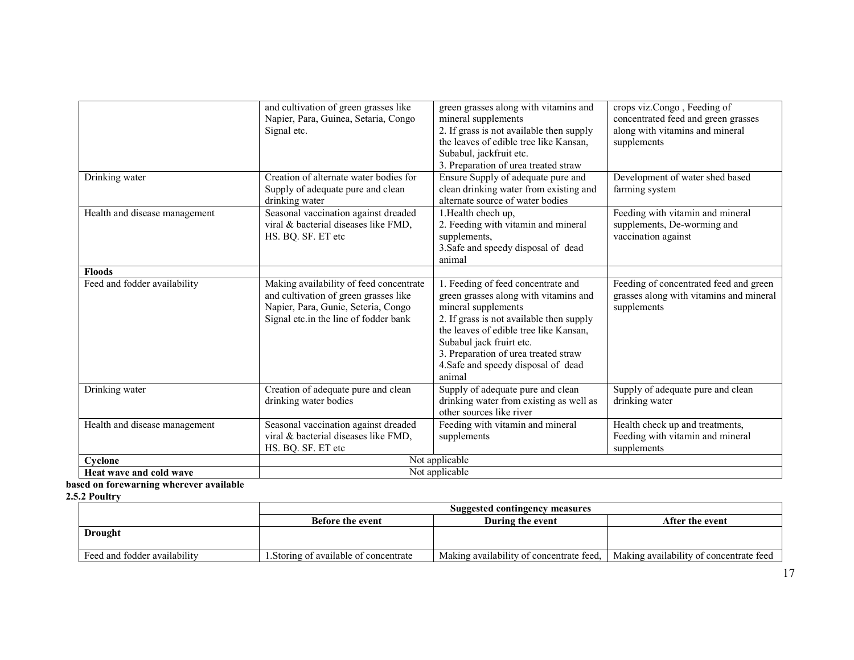| <b>Heat wave and cold wave</b>                | Not applicable                                                                                                                                                   |                                                                                                                                                                                                                                                                                                               |                                                                                                                      |
|-----------------------------------------------|------------------------------------------------------------------------------------------------------------------------------------------------------------------|---------------------------------------------------------------------------------------------------------------------------------------------------------------------------------------------------------------------------------------------------------------------------------------------------------------|----------------------------------------------------------------------------------------------------------------------|
| Cyclone                                       | Not applicable                                                                                                                                                   |                                                                                                                                                                                                                                                                                                               |                                                                                                                      |
| Health and disease management                 | Seasonal vaccination against dreaded<br>viral & bacterial diseases like FMD,<br>HS. BQ. SF. ET etc                                                               | Feeding with vitamin and mineral<br>supplements                                                                                                                                                                                                                                                               | Health check up and treatments,<br>Feeding with vitamin and mineral<br>supplements                                   |
| Drinking water                                | Creation of adequate pure and clean<br>drinking water bodies                                                                                                     | Supply of adequate pure and clean<br>drinking water from existing as well as<br>other sources like river                                                                                                                                                                                                      | Supply of adequate pure and clean<br>drinking water                                                                  |
| <b>Floods</b><br>Feed and fodder availability | Making availability of feed concentrate<br>and cultivation of green grasses like<br>Napier, Para, Gunie, Seteria, Congo<br>Signal etc.in the line of fodder bank | 1. Feeding of feed concentrate and<br>green grasses along with vitamins and<br>mineral supplements<br>2. If grass is not available then supply<br>the leaves of edible tree like Kansan.<br>Subabul jack fruirt etc.<br>3. Preparation of urea treated straw<br>4. Safe and speedy disposal of dead<br>animal | Feeding of concentrated feed and green<br>grasses along with vitamins and mineral<br>supplements                     |
| Health and disease management                 | Seasonal vaccination against dreaded<br>viral & bacterial diseases like FMD,<br>HS. BQ. SF. ET etc                                                               | 1. Health chech up,<br>2. Feeding with vitamin and mineral<br>supplements,<br>3. Safe and speedy disposal of dead<br>animal                                                                                                                                                                                   | Feeding with vitamin and mineral<br>supplements, De-worming and<br>vaccination against                               |
| Drinking water                                | Creation of alternate water bodies for<br>Supply of adequate pure and clean<br>drinking water                                                                    | Subabul, jackfruit etc.<br>3. Preparation of urea treated straw<br>Ensure Supply of adequate pure and<br>clean drinking water from existing and<br>alternate source of water bodies                                                                                                                           | Development of water shed based<br>farming system                                                                    |
|                                               | and cultivation of green grasses like<br>Napier, Para, Guinea, Setaria, Congo<br>Signal etc.                                                                     | green grasses along with vitamins and<br>mineral supplements<br>2. If grass is not available then supply<br>the leaves of edible tree like Kansan,                                                                                                                                                            | crops viz.Congo, Feeding of<br>concentrated feed and green grasses<br>along with vitamins and mineral<br>supplements |

# based on forewarning wherever available<br>2.5<u>.2 Poultry</u>

|                              | Suggested contingency measures        |                                          |                                         |
|------------------------------|---------------------------------------|------------------------------------------|-----------------------------------------|
|                              | <b>Before the event</b>               | During the event                         | After the event                         |
| <b>Drought</b>               |                                       |                                          |                                         |
|                              |                                       |                                          |                                         |
| Feed and fodder availability | . Storing of available of concentrate | Making availability of concentrate feed. | Making availability of concentrate feed |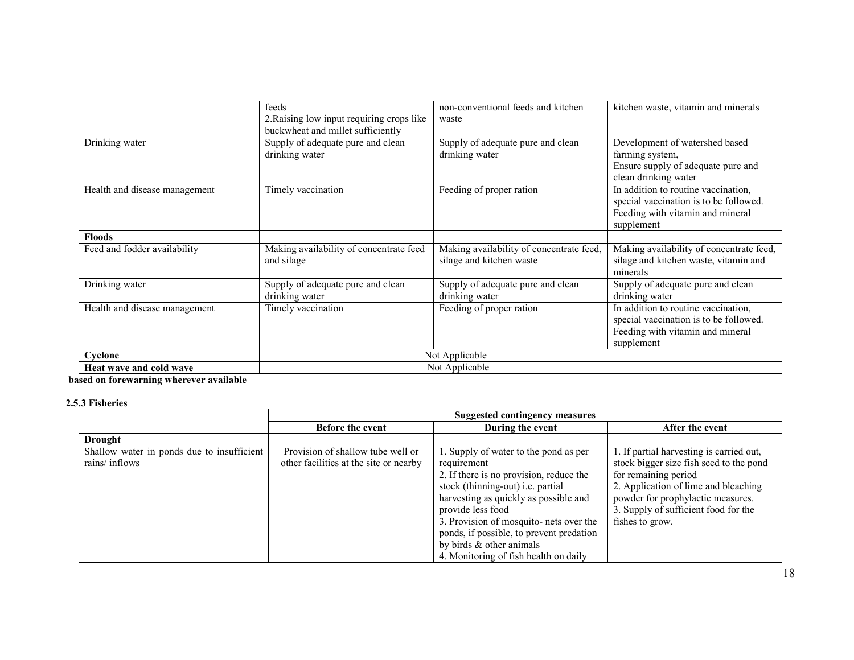|                               | feeds<br>2. Raising low input requiring crops like<br>buckwheat and millet sufficiently | non-conventional feeds and kitchen<br>waste                          | kitchen waste, vitamin and minerals                                                                                             |
|-------------------------------|-----------------------------------------------------------------------------------------|----------------------------------------------------------------------|---------------------------------------------------------------------------------------------------------------------------------|
| Drinking water                | Supply of adequate pure and clean<br>drinking water                                     | Supply of adequate pure and clean<br>drinking water                  | Development of watershed based<br>farming system,<br>Ensure supply of adequate pure and<br>clean drinking water                 |
| Health and disease management | Timely vaccination                                                                      | Feeding of proper ration                                             | In addition to routine vaccination,<br>special vaccination is to be followed.<br>Feeding with vitamin and mineral<br>supplement |
| <b>Floods</b>                 |                                                                                         |                                                                      |                                                                                                                                 |
| Feed and fodder availability  | Making availability of concentrate feed<br>and silage                                   | Making availability of concentrate feed,<br>silage and kitchen waste | Making availability of concentrate feed,<br>silage and kitchen waste, vitamin and<br>minerals                                   |
| Drinking water                | Supply of adequate pure and clean<br>drinking water                                     | Supply of adequate pure and clean<br>drinking water                  | Supply of adequate pure and clean<br>drinking water                                                                             |
| Health and disease management | Timely vaccination                                                                      | Feeding of proper ration                                             | In addition to routine vaccination,<br>special vaccination is to be followed.<br>Feeding with vitamin and mineral<br>supplement |
| Cyclone                       | Not Applicable                                                                          |                                                                      |                                                                                                                                 |
| Heat wave and cold wave       | Not Applicable                                                                          |                                                                      |                                                                                                                                 |

based on forewarning wherever available

### 2.5.3 Fisheries

|                                            | Suggested contingency measures         |                                          |                                          |
|--------------------------------------------|----------------------------------------|------------------------------------------|------------------------------------------|
|                                            | <b>Before the event</b>                | During the event                         | After the event                          |
| <b>Drought</b>                             |                                        |                                          |                                          |
| Shallow water in ponds due to insufficient | Provision of shallow tube well or      | 1. Supply of water to the pond as per    | 1. If partial harvesting is carried out, |
| rains/inflows                              | other facilities at the site or nearby | requirement                              | stock bigger size fish seed to the pond  |
|                                            |                                        | 2. If there is no provision, reduce the  | for remaining period                     |
|                                            |                                        | stock (thinning-out) i.e. partial        | 2. Application of lime and bleaching     |
|                                            |                                        | harvesting as quickly as possible and    | powder for prophylactic measures.        |
|                                            |                                        | provide less food                        | 3. Supply of sufficient food for the     |
|                                            |                                        | 3. Provision of mosquito- nets over the  | fishes to grow.                          |
|                                            |                                        | ponds, if possible, to prevent predation |                                          |
|                                            |                                        | by birds $\&$ other animals              |                                          |
|                                            |                                        | 4. Monitoring of fish health on daily    |                                          |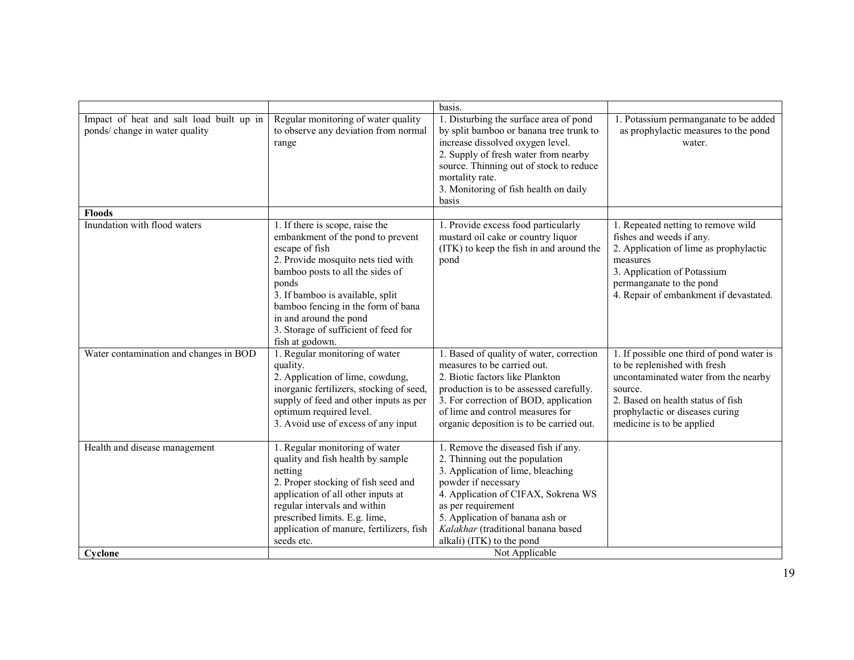|                                                                            |                                                                                                                                                                                                                                                                                                                                          | basis.                                                                                                                                                                                                                                                                                               |                                                                                                                                                                                                                                   |
|----------------------------------------------------------------------------|------------------------------------------------------------------------------------------------------------------------------------------------------------------------------------------------------------------------------------------------------------------------------------------------------------------------------------------|------------------------------------------------------------------------------------------------------------------------------------------------------------------------------------------------------------------------------------------------------------------------------------------------------|-----------------------------------------------------------------------------------------------------------------------------------------------------------------------------------------------------------------------------------|
| Impact of heat and salt load built up in<br>ponds/ change in water quality | Regular monitoring of water quality<br>to observe any deviation from normal<br>range                                                                                                                                                                                                                                                     | 1. Disturbing the surface area of pond<br>by split bamboo or banana tree trunk to<br>increase dissolved oxygen level.<br>2. Supply of fresh water from nearby<br>source. Thinning out of stock to reduce<br>mortality rate.<br>3. Monitoring of fish health on daily<br>basis                        | 1. Potassium permanganate to be added<br>as prophylactic measures to the pond<br>water.                                                                                                                                           |
| <b>Floods</b>                                                              |                                                                                                                                                                                                                                                                                                                                          |                                                                                                                                                                                                                                                                                                      |                                                                                                                                                                                                                                   |
| Inundation with flood waters                                               | 1. If there is scope, raise the<br>embankment of the pond to prevent<br>escape of fish<br>2. Provide mosquito nets tied with<br>bamboo posts to all the sides of<br>ponds<br>3. If bamboo is available, split<br>bamboo fencing in the form of bana<br>in and around the pond<br>3. Storage of sufficient of feed for<br>fish at godown. | 1. Provide excess food particularly<br>mustard oil cake or country liquor<br>(ITK) to keep the fish in and around the<br>pond                                                                                                                                                                        | 1. Repeated netting to remove wild<br>fishes and weeds if any.<br>2. Application of lime as prophylactic<br>measures<br>3. Application of Potassium<br>permanganate to the pond<br>4. Repair of embankment if devastated.         |
| Water contamination and changes in BOD                                     | 1. Regular monitoring of water<br>quality.<br>2. Application of lime, cowdung,<br>inorganic fertilizers, stocking of seed,<br>supply of feed and other inputs as per<br>optimum required level.<br>3. Avoid use of excess of any input                                                                                                   | 1. Based of quality of water, correction<br>measures to be carried out.<br>2. Biotic factors like Plankton<br>production is to be assessed carefully.<br>3. For correction of BOD, application<br>of lime and control measures for<br>organic deposition is to be carried out.                       | 1. If possible one third of pond water is<br>to be replenished with fresh<br>uncontaminated water from the nearby<br>source.<br>2. Based on health status of fish<br>prophylactic or diseases curing<br>medicine is to be applied |
| Health and disease management                                              | 1. Regular monitoring of water<br>quality and fish health by sample<br>netting<br>2. Proper stocking of fish seed and<br>application of all other inputs at<br>regular intervals and within<br>prescribed limits. E.g. lime,<br>application of manure, fertilizers, fish<br>seeds etc.                                                   | 1. Remove the diseased fish if any.<br>2. Thinning out the population<br>3. Application of lime, bleaching<br>powder if necessary<br>4. Application of CIFAX, Sokrena WS<br>as per requirement<br>5. Application of banana ash or<br>Kalakhar (traditional banana based<br>alkali) (ITK) to the pond |                                                                                                                                                                                                                                   |
| Cyclone                                                                    | Not Applicable                                                                                                                                                                                                                                                                                                                           |                                                                                                                                                                                                                                                                                                      |                                                                                                                                                                                                                                   |